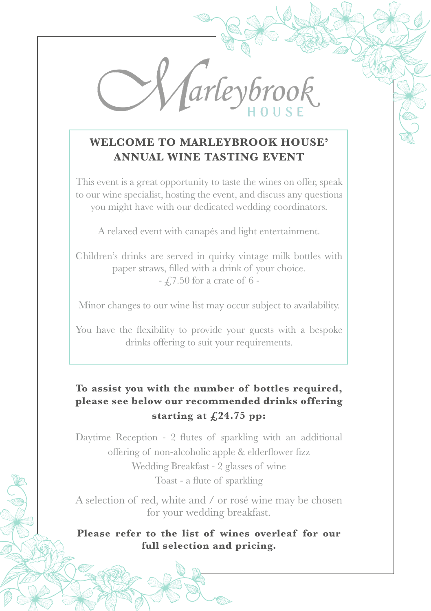*arleybro* 

## **WELCOME TO MARLEYBROOK HOUSE' ANNUAL WINE TASTING EVENT**

This event is a great opportunity to taste the wines on offer, speak to our wine specialist, hosting the event, and discuss any questions you might have with our dedicated wedding coordinators.

A relaxed event with canapés and light entertainment.

Children's drinks are served in quirky vintage milk bottles with paper straws, filled with a drink of your choice.  $-$  £7.50 for a crate of 6 -

Minor changes to our wine list may occur subject to availability.

You have the flexibility to provide your guests with a bespoke drinks offering to suit your requirements.

## **To assist you with the number of bottles required, please see below our recommended drinks offering starting at £24.75 pp:**

Daytime Reception - 2 flutes of sparkling with an additional offering of non-alcoholic apple & elderflower fizz

Wedding Breakfast - 2 glasses of wine Toast - a flute of sparkling

A selection of red, white and / or rosé wine may be chosen for your wedding breakfast.

**Please refer to the list of wines overleaf for our full selection and pricing.**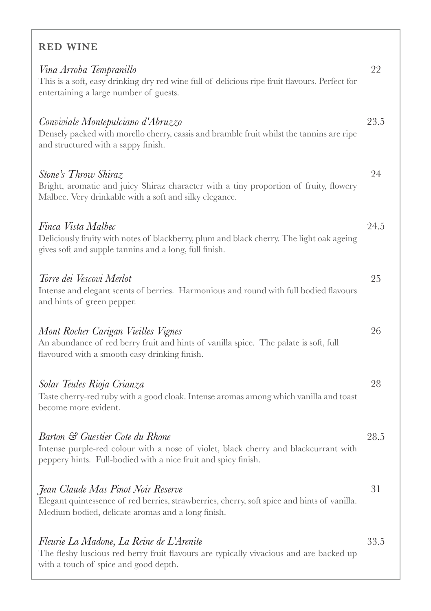## RED WINE

| Vina Arroba Tempranillo<br>This is a soft, easy drinking dry red wine full of delicious ripe fruit flavours. Perfect for<br>entertaining a large number of guests.                       | 22   |
|------------------------------------------------------------------------------------------------------------------------------------------------------------------------------------------|------|
| Conviviale Montepulciano d'Abruzzo<br>Densely packed with morello cherry, cassis and bramble fruit whilst the tannins are ripe<br>and structured with a sappy finish.                    | 23.5 |
| Stone's Throw Shiraz<br>Bright, aromatic and juicy Shiraz character with a tiny proportion of fruity, flowery<br>Malbec. Very drinkable with a soft and silky elegance.                  | 24   |
| Finca Vista Malbec<br>Deliciously fruity with notes of blackberry, plum and black cherry. The light oak ageing<br>gives soft and supple tannins and a long, full finish.                 | 24.5 |
| Torre dei Vescovi Merlot<br>Intense and elegant scents of berries. Harmonious and round with full bodied flavours<br>and hints of green pepper.                                          | 25   |
| Mont Rocher Carigan Vieilles Vignes<br>An abundance of red berry fruit and hints of vanilla spice. The palate is soft, full<br>flavoured with a smooth easy drinking finish.             | 26   |
| Solar Teules Rioja Crianza<br>Taste cherry-red ruby with a good cloak. Intense aromas among which vanilla and toast<br>become more evident.                                              | 28   |
| Barton & Guestier Cote du Rhone<br>Intense purple-red colour with a nose of violet, black cherry and blackcurrant with<br>peppery hints. Full-bodied with a nice fruit and spicy finish. | 28.5 |
| Jean Claude Mas Pinot Noir Reserve<br>Elegant quintessence of red berries, strawberries, cherry, soft spice and hints of vanilla.<br>Medium bodied, delicate aromas and a long finish.   | 31   |
| Fleurie La Madone, La Reine de L'Arenite<br>The fleshy luscious red berry fruit flavours are typically vivacious and are backed up<br>with a touch of spice and good depth.              | 33.5 |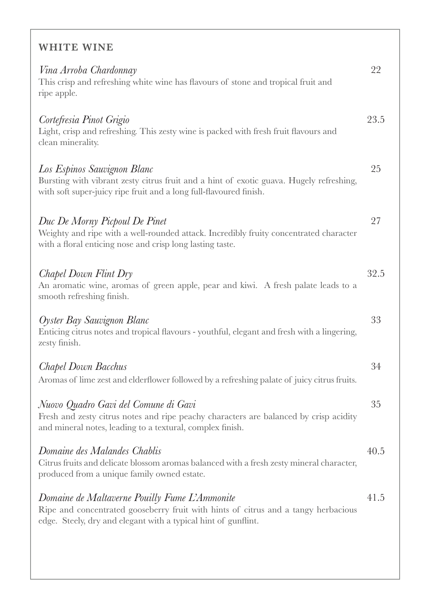## WHITE WINE

| Vina Arroba Chardonnay<br>This crisp and refreshing white wine has flavours of stone and tropical fruit and<br>ripe apple.                                                                            | 22   |
|-------------------------------------------------------------------------------------------------------------------------------------------------------------------------------------------------------|------|
| Cortefresia Pinot Grigio<br>Light, crisp and refreshing. This zesty wine is packed with fresh fruit flavours and<br>clean minerality.                                                                 | 23.5 |
| Los Espinos Sauvignon Blanc<br>Bursting with vibrant zesty citrus fruit and a hint of exotic guava. Hugely refreshing,<br>with soft super-juicy ripe fruit and a long full-flavoured finish.          | 25   |
| Duc De Morny Picpoul De Pinet<br>Weighty and ripe with a well-rounded attack. Incredibly fruity concentrated character<br>with a floral enticing nose and crisp long lasting taste.                   | 27   |
| Chapel Down Flint Dry<br>An aromatic wine, aromas of green apple, pear and kiwi. A fresh palate leads to a<br>smooth refreshing finish.                                                               | 32.5 |
| Oyster Bay Sauvignon Blanc<br>Enticing citrus notes and tropical flavours - youthful, elegant and fresh with a lingering,<br>zesty finish.                                                            | 33   |
| Chapel Down Bacchus<br>Aromas of lime zest and elderflower followed by a refreshing palate of juicy citrus fruits.                                                                                    | 34   |
| Nuovo Quadro Gavi del Comune di Gavi<br>Fresh and zesty citrus notes and ripe peachy characters are balanced by crisp acidity<br>and mineral notes, leading to a textural, complex finish.            | 35   |
| Domaine des Malandes Chablis<br>Citrus fruits and delicate blossom aromas balanced with a fresh zesty mineral character,<br>produced from a unique family owned estate.                               | 40.5 |
| Domaine de Maltaverne Pouilly Fume L'Ammonite<br>Ripe and concentrated gooseberry fruit with hints of citrus and a tangy herbacious<br>edge. Steely, dry and elegant with a typical hint of gunflint. | 41.5 |